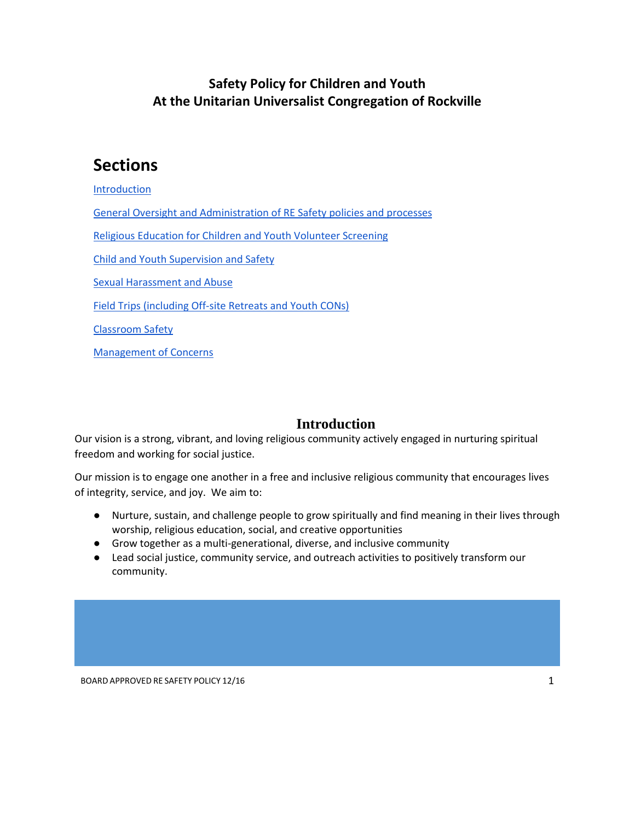# **Safety Policy for Children and Youth At the Unitarian Universalist Congregation of Rockville**

# **Sections**

[Introduction](#page-0-0)

[General Oversight and Administration of RE Safety policies and processes](#page-1-0)

[Religious Education for Children and Youth Volunteer Screening](#page-2-0)

[Child and Youth Supervision and Safety](#page-5-0)

[Sexual Harassment and Abuse](#page-7-0)

[Field Trips \(including Off-site Retreats and Youth CONs\)](#page-8-0)

[Classroom Safety](#page-9-0)

[Management of Concerns](#page-11-0)

#### **Introduction**

<span id="page-0-0"></span>Our vision is a strong, vibrant, and loving religious community actively engaged in nurturing spiritual freedom and working for social justice.

Our mission is to engage one another in a free and inclusive religious community that encourages lives of integrity, service, and joy. We aim to:

- Nurture, sustain, and challenge people to grow spiritually and find meaning in their lives through worship, religious education, social, and creative opportunities
- Grow together as a multi-generational, diverse, and inclusive community
- Lead social justice, community service, and outreach activities to positively transform our community.

BOARD APPROVED RE SAFETY POLICY 12/16 1 2008 1 2008 1 2008 1 2008 1 2008 1 2008 1 2008 1 2008 1 2008 1 2008 1 2008 1 2008 1 2008 1 2008 1 2008 1 2008 1 2008 1 2008 1 2008 1 2008 1 2008 1 2008 1 2008 1 2008 1 2008 1 2008 1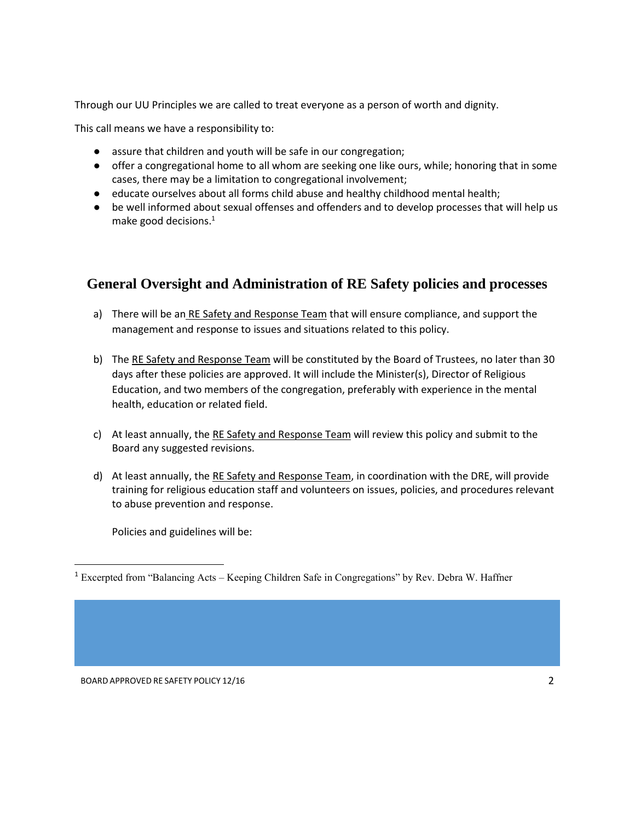Through our UU Principles we are called to treat everyone as a person of worth and dignity.

This call means we have a responsibility to:

- assure that children and youth will be safe in our congregation;
- offer a congregational home to all whom are seeking one like ours, while; honoring that in some cases, there may be a limitation to congregational involvement;
- educate ourselves about all forms child abuse and healthy childhood mental health;
- be well informed about sexual offenses and offenders and to develop processes that will help us make good decisions. $1$

## <span id="page-1-0"></span>**General Oversight and Administration of RE Safety policies and processes**

- a) There will be an RE Safety and Response Team that will ensure compliance, and support the management and response to issues and situations related to this policy.
- b) The RE Safety and Response Team will be constituted by the Board of Trustees, no later than 30 days after these policies are approved. It will include the Minister(s), Director of Religious Education, and two members of the congregation, preferably with experience in the mental health, education or related field.
- c) At least annually, the RE Safety and Response Team will review this policy and submit to the Board any suggested revisions.
- d) At least annually, the RE Safety and Response Team, in coordination with the DRE, will provide training for religious education staff and volunteers on issues, policies, and procedures relevant to abuse prevention and response.

Policies and guidelines will be:

 $\overline{a}$ 

<sup>1</sup> Excerpted from "Balancing Acts – Keeping Children Safe in Congregations" by Rev. Debra W. Haffner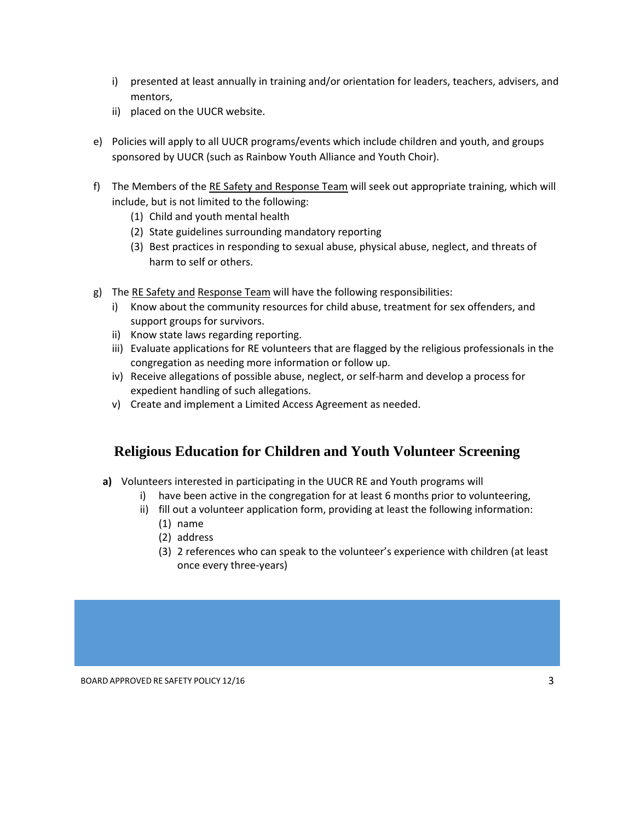- i) presented at least annually in training and/or orientation for leaders, teachers, advisers, and mentors,
- ii) placed on the UUCR website.
- e) Policies will apply to all UUCR programs/events which include children and youth, and groups sponsored by UUCR (such as Rainbow Youth Alliance and Youth Choir).
- f) The Members of the RE Safety and Response Team will seek out appropriate training, which will include, but is not limited to the following:
	- (1) Child and youth mental health
	- (2) State guidelines surrounding mandatory reporting
	- (3) Best practices in responding to sexual abuse, physical abuse, neglect, and threats of harm to self or others.
- g) The RE Safety and Response Team will have the following responsibilities:
	- i) Know about the community resources for child abuse, treatment for sex offenders, and support groups for survivors.
	- ii) Know state laws regarding reporting.
	- iii) Evaluate applications for RE volunteers that are flagged by the religious professionals in the congregation as needing more information or follow up.
	- iv) Receive allegations of possible abuse, neglect, or self-harm and develop a process for expedient handling of such allegations.
	- v) Create and implement a Limited Access Agreement as needed.

## <span id="page-2-0"></span>**Religious Education for Children and Youth Volunteer Screening**

- **a)** Volunteers interested in participating in the UUCR RE and Youth programs will
	- i) have been active in the congregation for at least 6 months prior to volunteering,
	- ii) fill out a volunteer application form, providing at least the following information:
		- (1) name
		- (2) address
		- (3) 2 references who can speak to the volunteer's experience with children (at least once every three-years)

BOARD APPROVED RE SAFETY POLICY 12/16 3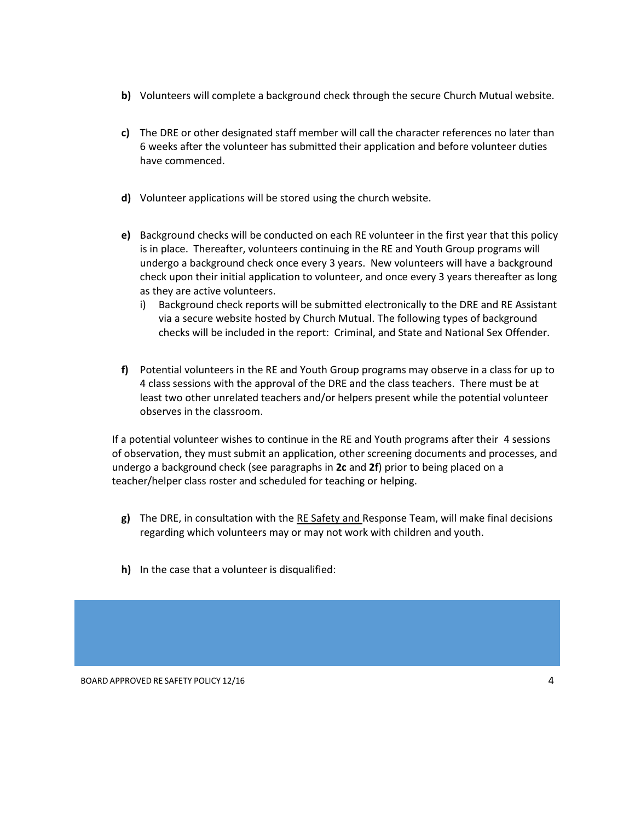- **b)** Volunteers will complete a background check through the secure Church Mutual website.
- **c)** The DRE or other designated staff member will call the character references no later than 6 weeks after the volunteer has submitted their application and before volunteer duties have commenced.
- **d)** Volunteer applications will be stored using the church website.
- **e)** Background checks will be conducted on each RE volunteer in the first year that this policy is in place. Thereafter, volunteers continuing in the RE and Youth Group programs will undergo a background check once every 3 years. New volunteers will have a background check upon their initial application to volunteer, and once every 3 years thereafter as long as they are active volunteers.
	- i) Background check reports will be submitted electronically to the DRE and RE Assistant via a secure website hosted by Church Mutual. The following types of background checks will be included in the report: Criminal, and State and National Sex Offender.
- **f)** Potential volunteers in the RE and Youth Group programs may observe in a class for up to 4 class sessions with the approval of the DRE and the class teachers. There must be at least two other unrelated teachers and/or helpers present while the potential volunteer observes in the classroom.

If a potential volunteer wishes to continue in the RE and Youth programs after their 4 sessions of observation, they must submit an application, other screening documents and processes, and undergo a background check (see paragraphs in **2c** and **2f**) prior to being placed on a teacher/helper class roster and scheduled for teaching or helping.

- **g)** The DRE, in consultation with the RE Safety and Response Team, will make final decisions regarding which volunteers may or may not work with children and youth.
- **h)** In the case that a volunteer is disqualified: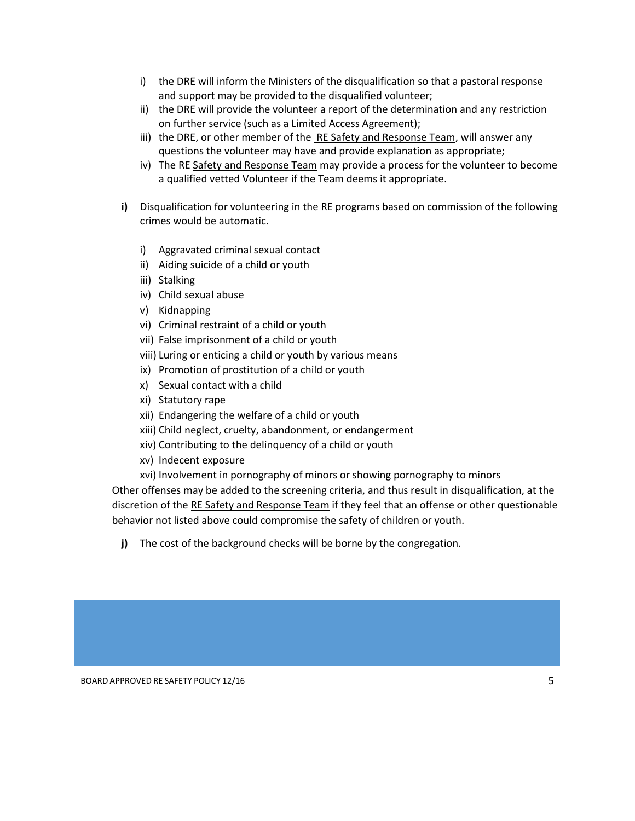- i) the DRE will inform the Ministers of the disqualification so that a pastoral response and support may be provided to the disqualified volunteer;
- ii) the DRE will provide the volunteer a report of the determination and any restriction on further service (such as a Limited Access Agreement);
- iii) the DRE, or other member of the RE Safety and Response Team, will answer any questions the volunteer may have and provide explanation as appropriate;
- iv) The RE Safety and Response Team may provide a process for the volunteer to become a qualified vetted Volunteer if the Team deems it appropriate.
- **i)** Disqualification for volunteering in the RE programs based on commission of the following crimes would be automatic.
	- i) Aggravated criminal sexual contact
	- ii) Aiding suicide of a child or youth
	- iii) Stalking
	- iv) Child sexual abuse
	- v) Kidnapping
	- vi) Criminal restraint of a child or youth
	- vii) False imprisonment of a child or youth
	- viii) Luring or enticing a child or youth by various means
	- ix) Promotion of prostitution of a child or youth
	- x) Sexual contact with a child
	- xi) Statutory rape
	- xii) Endangering the welfare of a child or youth
	- xiii) Child neglect, cruelty, abandonment, or endangerment
	- xiv) Contributing to the delinquency of a child or youth
	- xv) Indecent exposure
	- xvi) Involvement in pornography of minors or showing pornography to minors

Other offenses may be added to the screening criteria, and thus result in disqualification, at the discretion of the RE Safety and Response Team if they feel that an offense or other questionable behavior not listed above could compromise the safety of children or youth.

**j)** The cost of the background checks will be borne by the congregation.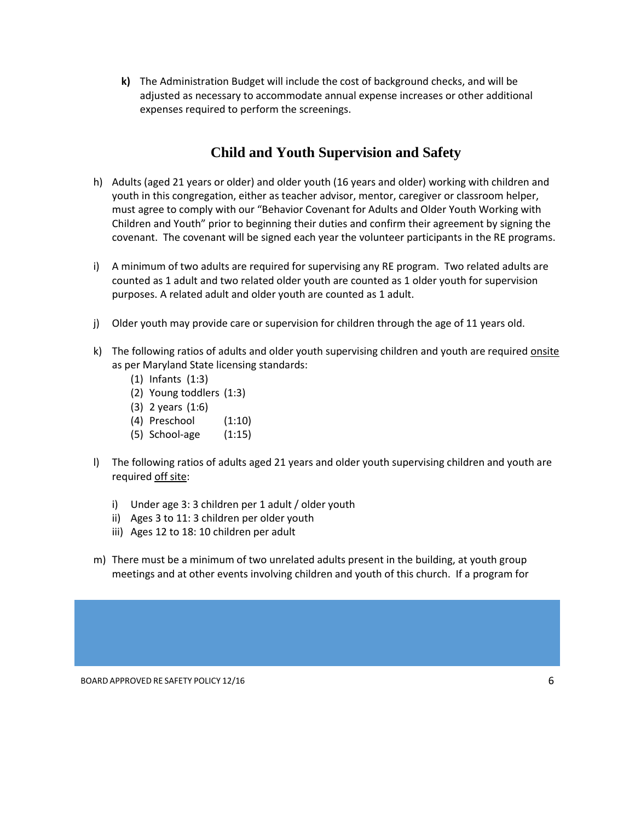**k)** The Administration Budget will include the cost of background checks, and will be adjusted as necessary to accommodate annual expense increases or other additional expenses required to perform the screenings.

## **Child and Youth Supervision and Safety**

- <span id="page-5-0"></span>h) Adults (aged 21 years or older) and older youth (16 years and older) working with children and youth in this congregation, either as teacher advisor, mentor, caregiver or classroom helper, must agree to comply with our "Behavior Covenant for Adults and Older Youth Working with Children and Youth" prior to beginning their duties and confirm their agreement by signing the covenant. The covenant will be signed each year the volunteer participants in the RE programs.
- i) A minimum of two adults are required for supervising any RE program. Two related adults are counted as 1 adult and two related older youth are counted as 1 older youth for supervision purposes. A related adult and older youth are counted as 1 adult.
- j) Older youth may provide care or supervision for children through the age of 11 years old.
- k) The following ratios of adults and older youth supervising children and youth are required onsite as per Maryland State licensing standards:
	- (1) Infants (1:3)
	- (2) Young toddlers (1:3)
	- (3) 2 years (1:6)
	- (4) Preschool (1:10)
	- (5) School-age (1:15)
- l) The following ratios of adults aged 21 years and older youth supervising children and youth are required off site:
	- i) Under age 3: 3 children per 1 adult / older youth
	- ii) Ages 3 to 11: 3 children per older youth
	- iii) Ages 12 to 18: 10 children per adult
- m) There must be a minimum of two unrelated adults present in the building, at youth group meetings and at other events involving children and youth of this church. If a program for

BOARD APPROVED RE SAFETY POLICY 12/16 6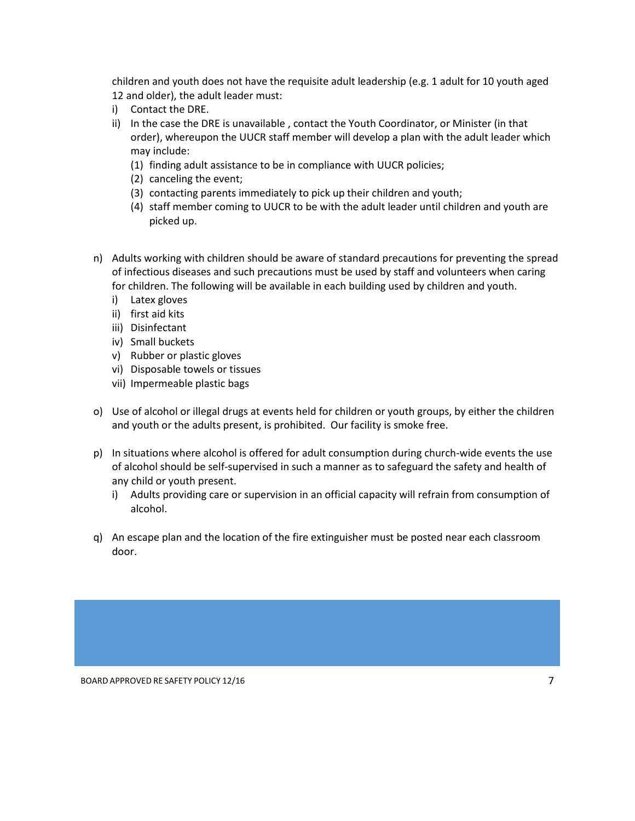children and youth does not have the requisite adult leadership (e.g. 1 adult for 10 youth aged 12 and older), the adult leader must:

- i) Contact the DRE.
- ii) In the case the DRE is unavailable, contact the Youth Coordinator, or Minister (in that order), whereupon the UUCR staff member will develop a plan with the adult leader which may include:
	- (1) finding adult assistance to be in compliance with UUCR policies;
	- (2) canceling the event;
	- (3) contacting parents immediately to pick up their children and youth;
	- (4) staff member coming to UUCR to be with the adult leader until children and youth are picked up.
- n) Adults working with children should be aware of standard precautions for preventing the spread of infectious diseases and such precautions must be used by staff and volunteers when caring for children. The following will be available in each building used by children and youth.
	- i) Latex gloves
	- ii) first aid kits
	- iii) Disinfectant
	- iv) Small buckets
	- v) Rubber or plastic gloves
	- vi) Disposable towels or tissues
	- vii) Impermeable plastic bags
- o) Use of alcohol or illegal drugs at events held for children or youth groups, by either the children and youth or the adults present, is prohibited. Our facility is smoke free.
- p) In situations where alcohol is offered for adult consumption during church-wide events the use of alcohol should be self-supervised in such a manner as to safeguard the safety and health of any child or youth present.
	- i) Adults providing care or supervision in an official capacity will refrain from consumption of alcohol.
- q) An escape plan and the location of the fire extinguisher must be posted near each classroom door.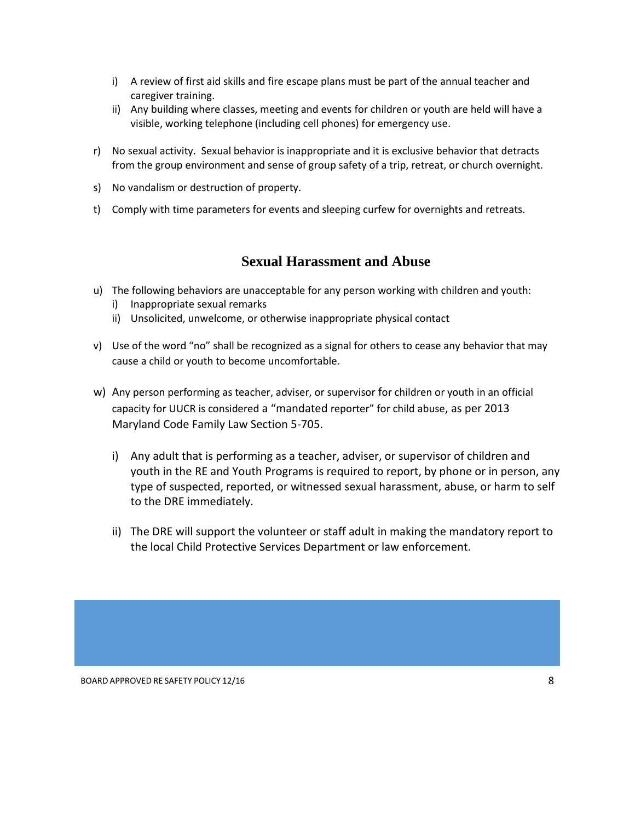- i) A review of first aid skills and fire escape plans must be part of the annual teacher and caregiver training.
- ii) Any building where classes, meeting and events for children or youth are held will have a visible, working telephone (including cell phones) for emergency use.
- r) No sexual activity. Sexual behavior is inappropriate and it is exclusive behavior that detracts from the group environment and sense of group safety of a trip, retreat, or church overnight.
- s) No vandalism or destruction of property.
- t) Comply with time parameters for events and sleeping curfew for overnights and retreats.

## **Sexual Harassment and Abuse**

- <span id="page-7-0"></span>u) The following behaviors are unacceptable for any person working with children and youth:
	- i) Inappropriate sexual remarks
	- ii) Unsolicited, unwelcome, or otherwise inappropriate physical contact
- v) Use of the word "no" shall be recognized as a signal for others to cease any behavior that may cause a child or youth to become uncomfortable.
- w) Any person performing as teacher, adviser, or supervisor for children or youth in an official capacity for UUCR is considered a "mandated reporter" for child abuse, as per 2013 Maryland Code Family Law Section 5-705.
	- i) Any adult that is performing as a teacher, adviser, or supervisor of children and youth in the RE and Youth Programs is required to report, by phone or in person, any type of suspected, reported, or witnessed sexual harassment, abuse, or harm to self to the DRE immediately.
	- ii) The DRE will support the volunteer or staff adult in making the mandatory report to the local Child Protective Services Department or law enforcement.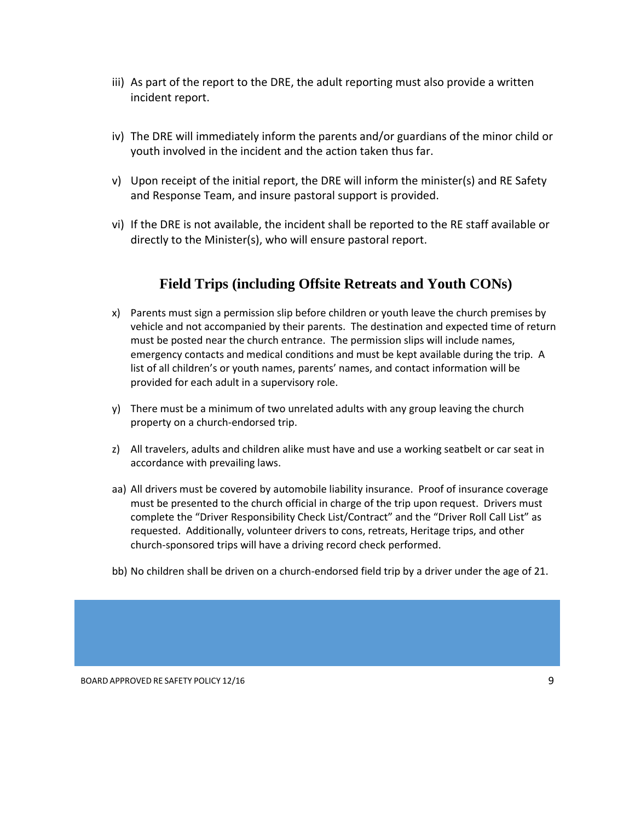- iii) As part of the report to the DRE, the adult reporting must also provide a written incident report.
- iv) The DRE will immediately inform the parents and/or guardians of the minor child or youth involved in the incident and the action taken thus far.
- v) Upon receipt of the initial report, the DRE will inform the minister(s) and RE Safety and Response Team, and insure pastoral support is provided.
- vi) If the DRE is not available, the incident shall be reported to the RE staff available or directly to the Minister(s), who will ensure pastoral report.

## **Field Trips (including Offsite Retreats and Youth CONs)**

- <span id="page-8-0"></span>x) Parents must sign a permission slip before children or youth leave the church premises by vehicle and not accompanied by their parents. The destination and expected time of return must be posted near the church entrance. The permission slips will include names, emergency contacts and medical conditions and must be kept available during the trip. A list of all children's or youth names, parents' names, and contact information will be provided for each adult in a supervisory role.
- y) There must be a minimum of two unrelated adults with any group leaving the church property on a church-endorsed trip.
- z) All travelers, adults and children alike must have and use a working seatbelt or car seat in accordance with prevailing laws.
- aa) All drivers must be covered by automobile liability insurance. Proof of insurance coverage must be presented to the church official in charge of the trip upon request. Drivers must complete the "Driver Responsibility Check List/Contract" and the "Driver Roll Call List" as requested. Additionally, volunteer drivers to cons, retreats, Heritage trips, and other church-sponsored trips will have a driving record check performed.
- bb) No children shall be driven on a church-endorsed field trip by a driver under the age of 21.

BOARD APPROVED RE SAFETY POLICY 12/16 9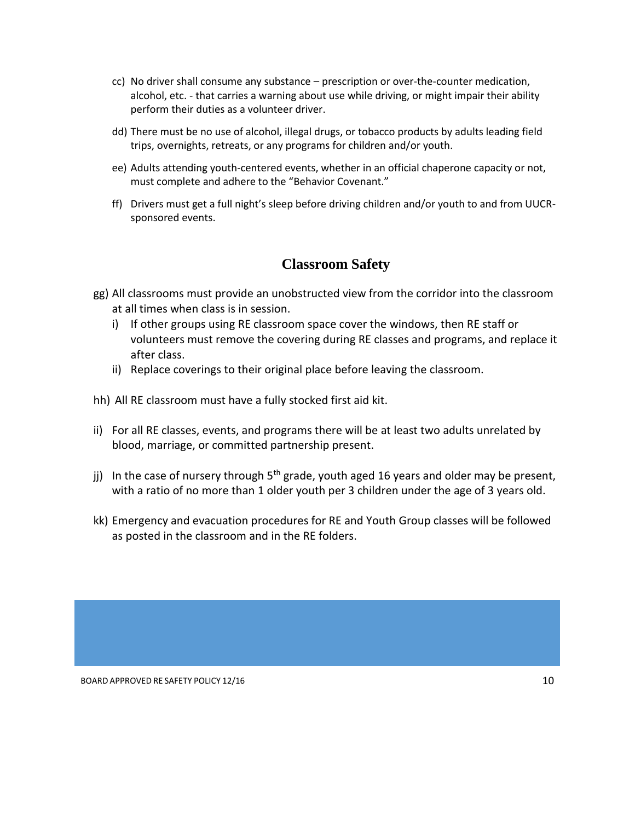- cc) No driver shall consume any substance prescription or over-the-counter medication, alcohol, etc. - that carries a warning about use while driving, or might impair their ability perform their duties as a volunteer driver.
- dd) There must be no use of alcohol, illegal drugs, or tobacco products by adults leading field trips, overnights, retreats, or any programs for children and/or youth.
- ee) Adults attending youth-centered events, whether in an official chaperone capacity or not, must complete and adhere to the "Behavior Covenant."
- ff) Drivers must get a full night's sleep before driving children and/or youth to and from UUCRsponsored events.

#### **Classroom Safety**

- <span id="page-9-0"></span>gg) All classrooms must provide an unobstructed view from the corridor into the classroom at all times when class is in session.
	- i) If other groups using RE classroom space cover the windows, then RE staff or volunteers must remove the covering during RE classes and programs, and replace it after class.
	- ii) Replace coverings to their original place before leaving the classroom.
- hh) All RE classroom must have a fully stocked first aid kit.
- ii) For all RE classes, events, and programs there will be at least two adults unrelated by blood, marriage, or committed partnership present.
- jj) In the case of nursery through  $5<sup>th</sup>$  grade, youth aged 16 years and older may be present, with a ratio of no more than 1 older youth per 3 children under the age of 3 years old.
- kk) Emergency and evacuation procedures for RE and Youth Group classes will be followed as posted in the classroom and in the RE folders.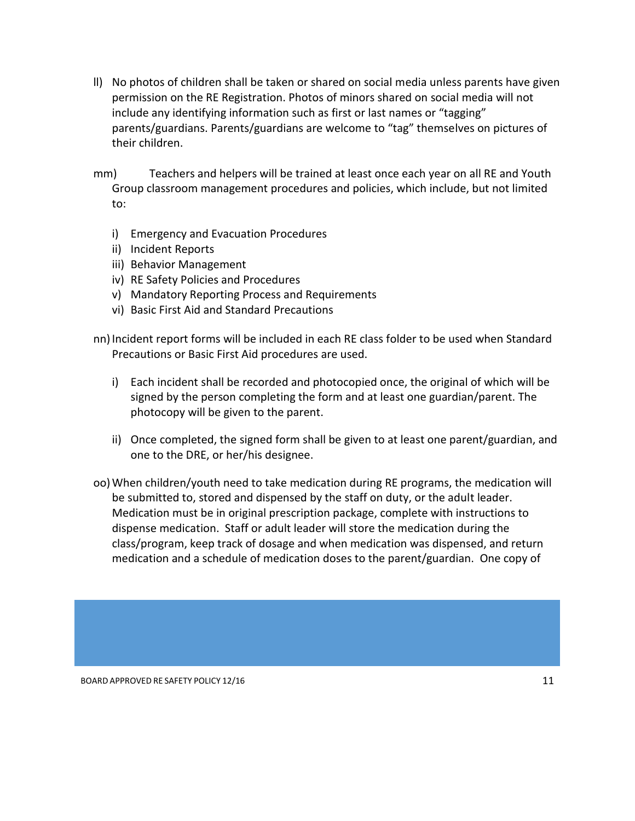ll) No photos of children shall be taken or shared on social media unless parents have given permission on the RE Registration. Photos of minors shared on social media will not include any identifying information such as first or last names or "tagging" parents/guardians. Parents/guardians are welcome to "tag" themselves on pictures of their children.

mm) Teachers and helpers will be trained at least once each year on all RE and Youth Group classroom management procedures and policies, which include, but not limited to:

- i) Emergency and Evacuation Procedures
- ii) Incident Reports
- iii) Behavior Management
- iv) RE Safety Policies and Procedures
- v) Mandatory Reporting Process and Requirements
- vi) Basic First Aid and Standard Precautions

nn) Incident report forms will be included in each RE class folder to be used when Standard Precautions or Basic First Aid procedures are used.

- i) Each incident shall be recorded and photocopied once, the original of which will be signed by the person completing the form and at least one guardian/parent. The photocopy will be given to the parent.
- ii) Once completed, the signed form shall be given to at least one parent/guardian, and one to the DRE, or her/his designee.
- oo)When children/youth need to take medication during RE programs, the medication will be submitted to, stored and dispensed by the staff on duty, or the adult leader. Medication must be in original prescription package, complete with instructions to dispense medication. Staff or adult leader will store the medication during the class/program, keep track of dosage and when medication was dispensed, and return medication and a schedule of medication doses to the parent/guardian. One copy of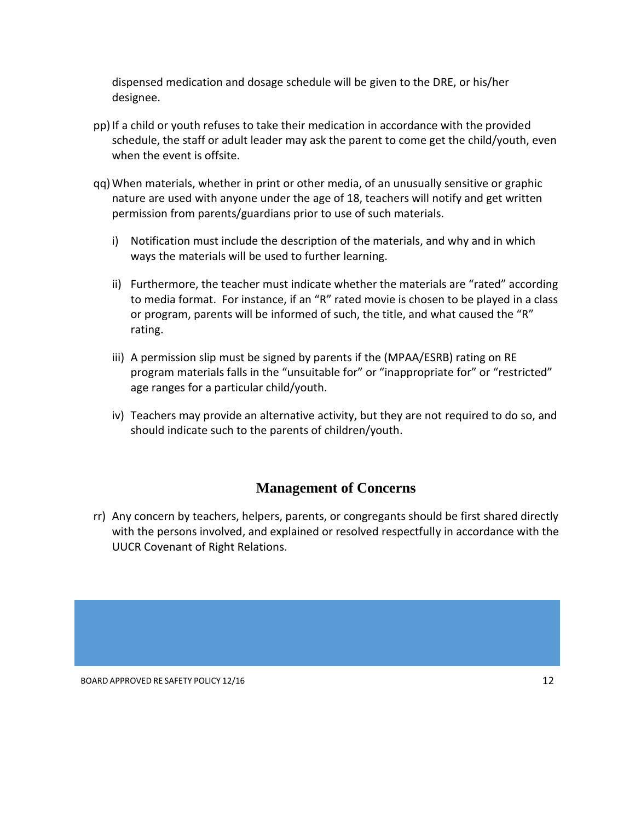dispensed medication and dosage schedule will be given to the DRE, or his/her designee.

- pp) If a child or youth refuses to take their medication in accordance with the provided schedule, the staff or adult leader may ask the parent to come get the child/youth, even when the event is offsite.
- qq)When materials, whether in print or other media, of an unusually sensitive or graphic nature are used with anyone under the age of 18, teachers will notify and get written permission from parents/guardians prior to use of such materials.
	- i) Notification must include the description of the materials, and why and in which ways the materials will be used to further learning.
	- ii) Furthermore, the teacher must indicate whether the materials are "rated" according to media format. For instance, if an "R" rated movie is chosen to be played in a class or program, parents will be informed of such, the title, and what caused the "R" rating.
	- iii) A permission slip must be signed by parents if the (MPAA/ESRB) rating on RE program materials falls in the "unsuitable for" or "inappropriate for" or "restricted" age ranges for a particular child/youth.
	- iv) Teachers may provide an alternative activity, but they are not required to do so, and should indicate such to the parents of children/youth.

## **Management of Concerns**

<span id="page-11-0"></span>rr) Any concern by teachers, helpers, parents, or congregants should be first shared directly with the persons involved, and explained or resolved respectfully in accordance with the UUCR Covenant of Right Relations.